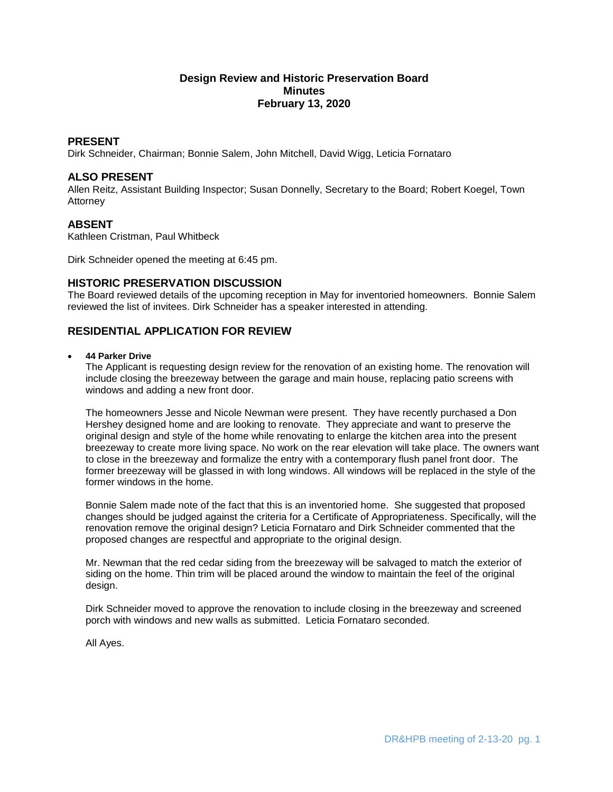# **Design Review and Historic Preservation Board Minutes February 13, 2020**

# **PRESENT**

Dirk Schneider, Chairman; Bonnie Salem, John Mitchell, David Wigg, Leticia Fornataro

# **ALSO PRESENT**

Allen Reitz, Assistant Building Inspector; Susan Donnelly, Secretary to the Board; Robert Koegel, Town Attorney

## **ABSENT**

Kathleen Cristman, Paul Whitbeck

Dirk Schneider opened the meeting at 6:45 pm.

## **HISTORIC PRESERVATION DISCUSSION**

The Board reviewed details of the upcoming reception in May for inventoried homeowners. Bonnie Salem reviewed the list of invitees. Dirk Schneider has a speaker interested in attending.

# **RESIDENTIAL APPLICATION FOR REVIEW**

### **44 Parker Drive**

The Applicant is requesting design review for the renovation of an existing home. The renovation will include closing the breezeway between the garage and main house, replacing patio screens with windows and adding a new front door.

The homeowners Jesse and Nicole Newman were present. They have recently purchased a Don Hershey designed home and are looking to renovate. They appreciate and want to preserve the original design and style of the home while renovating to enlarge the kitchen area into the present breezeway to create more living space. No work on the rear elevation will take place. The owners want to close in the breezeway and formalize the entry with a contemporary flush panel front door. The former breezeway will be glassed in with long windows. All windows will be replaced in the style of the former windows in the home.

Bonnie Salem made note of the fact that this is an inventoried home. She suggested that proposed changes should be judged against the criteria for a Certificate of Appropriateness. Specifically, will the renovation remove the original design? Leticia Fornataro and Dirk Schneider commented that the proposed changes are respectful and appropriate to the original design.

Mr. Newman that the red cedar siding from the breezeway will be salvaged to match the exterior of siding on the home. Thin trim will be placed around the window to maintain the feel of the original design.

Dirk Schneider moved to approve the renovation to include closing in the breezeway and screened porch with windows and new walls as submitted. Leticia Fornataro seconded.

All Ayes.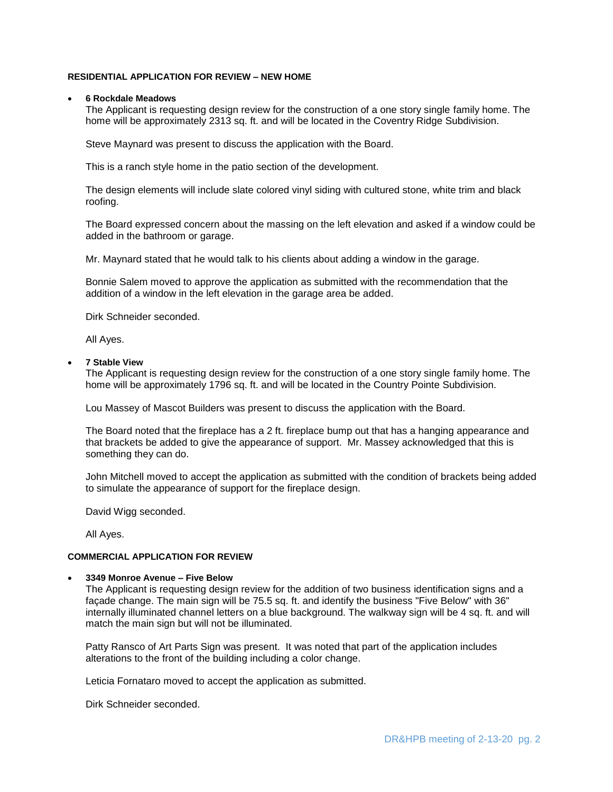### **RESIDENTIAL APPLICATION FOR REVIEW – NEW HOME**

#### **6 Rockdale Meadows**

The Applicant is requesting design review for the construction of a one story single family home. The home will be approximately 2313 sq. ft. and will be located in the Coventry Ridge Subdivision.

Steve Maynard was present to discuss the application with the Board.

This is a ranch style home in the patio section of the development.

The design elements will include slate colored vinyl siding with cultured stone, white trim and black roofing.

The Board expressed concern about the massing on the left elevation and asked if a window could be added in the bathroom or garage.

Mr. Maynard stated that he would talk to his clients about adding a window in the garage.

Bonnie Salem moved to approve the application as submitted with the recommendation that the addition of a window in the left elevation in the garage area be added.

Dirk Schneider seconded.

All Ayes.

### **7 Stable View**

The Applicant is requesting design review for the construction of a one story single family home. The home will be approximately 1796 sq. ft. and will be located in the Country Pointe Subdivision.

Lou Massey of Mascot Builders was present to discuss the application with the Board.

The Board noted that the fireplace has a 2 ft. fireplace bump out that has a hanging appearance and that brackets be added to give the appearance of support. Mr. Massey acknowledged that this is something they can do.

John Mitchell moved to accept the application as submitted with the condition of brackets being added to simulate the appearance of support for the fireplace design.

David Wigg seconded.

All Ayes.

# **COMMERCIAL APPLICATION FOR REVIEW**

#### **3349 Monroe Avenue – Five Below**

The Applicant is requesting design review for the addition of two business identification signs and a façade change. The main sign will be 75.5 sq. ft. and identify the business "Five Below" with 36" internally illuminated channel letters on a blue background. The walkway sign will be 4 sq. ft. and will match the main sign but will not be illuminated.

Patty Ransco of Art Parts Sign was present. It was noted that part of the application includes alterations to the front of the building including a color change.

Leticia Fornataro moved to accept the application as submitted.

Dirk Schneider seconded.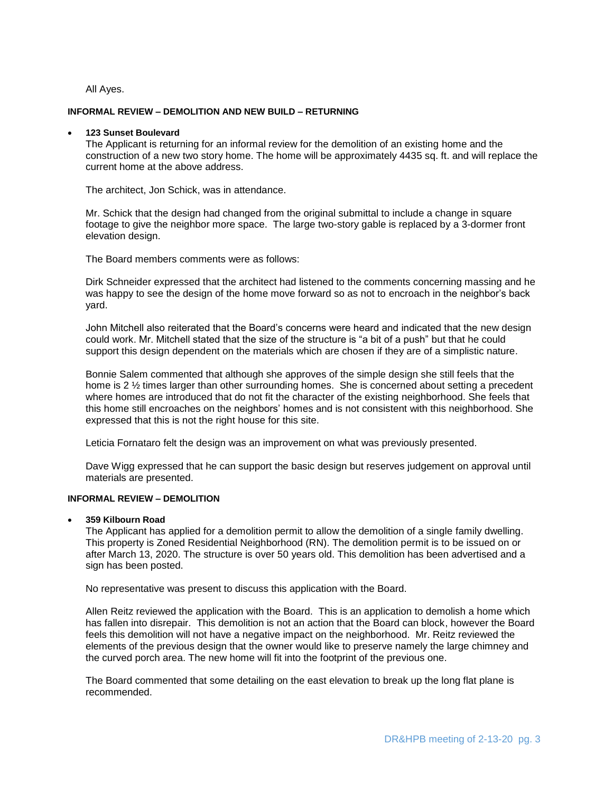All Ayes.

#### **INFORMAL REVIEW – DEMOLITION AND NEW BUILD – RETURNING**

#### **123 Sunset Boulevard**

The Applicant is returning for an informal review for the demolition of an existing home and the construction of a new two story home. The home will be approximately 4435 sq. ft. and will replace the current home at the above address.

The architect, Jon Schick, was in attendance.

Mr. Schick that the design had changed from the original submittal to include a change in square footage to give the neighbor more space. The large two-story gable is replaced by a 3-dormer front elevation design.

The Board members comments were as follows:

Dirk Schneider expressed that the architect had listened to the comments concerning massing and he was happy to see the design of the home move forward so as not to encroach in the neighbor's back yard.

John Mitchell also reiterated that the Board's concerns were heard and indicated that the new design could work. Mr. Mitchell stated that the size of the structure is "a bit of a push" but that he could support this design dependent on the materials which are chosen if they are of a simplistic nature.

Bonnie Salem commented that although she approves of the simple design she still feels that the home is  $2\frac{1}{2}$  times larger than other surrounding homes. She is concerned about setting a precedent where homes are introduced that do not fit the character of the existing neighborhood. She feels that this home still encroaches on the neighbors' homes and is not consistent with this neighborhood. She expressed that this is not the right house for this site.

Leticia Fornataro felt the design was an improvement on what was previously presented.

Dave Wigg expressed that he can support the basic design but reserves judgement on approval until materials are presented.

## **INFORMAL REVIEW – DEMOLITION**

**359 Kilbourn Road**

The Applicant has applied for a demolition permit to allow the demolition of a single family dwelling. This property is Zoned Residential Neighborhood (RN). The demolition permit is to be issued on or after March 13, 2020. The structure is over 50 years old. This demolition has been advertised and a sign has been posted.

No representative was present to discuss this application with the Board.

Allen Reitz reviewed the application with the Board. This is an application to demolish a home which has fallen into disrepair. This demolition is not an action that the Board can block, however the Board feels this demolition will not have a negative impact on the neighborhood. Mr. Reitz reviewed the elements of the previous design that the owner would like to preserve namely the large chimney and the curved porch area. The new home will fit into the footprint of the previous one.

The Board commented that some detailing on the east elevation to break up the long flat plane is recommended.